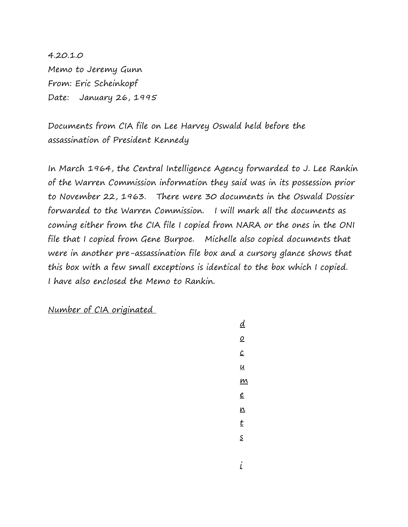4.20.1.0 Memo to Jeremy Gunn From: Eric Scheinkopf Date: January 26, 1995

Documents from CIA file on Lee Harvey Oswald held before the assassination of President Kennedy

In March 1964, the Central Intelligence Agency forwarded to J. Lee Rankin of the Warren Commission information they said was in its possession prior to November 22, 1963. There were 30 documents in the Oswald Dossier forwarded to the Warren Commission. I will mark all the documents as coming either from the CIA file I copied from NARA or the ones in the ONI file that I copied from Gene Burpoe. Michelle also copied documents that were in another pre-assassination file box and a cursory glance shows that this box with a few small exceptions is identical to the box which I copied. I have also enclosed the Memo to Rankin.

Number of CIA originated

d o  $\mathcal{C}$ u  $\mathbf{M}$ e n t s i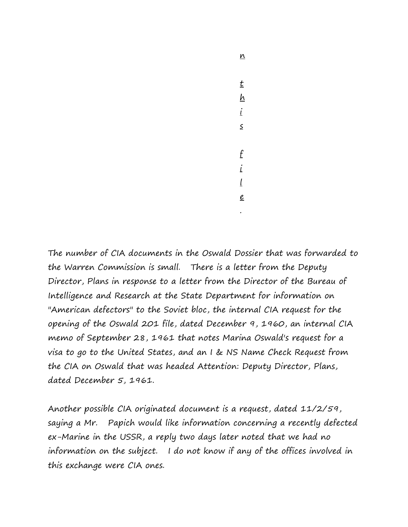n t  $h$ i s f i l e .

The number of CIA documents in the Oswald Dossier that was forwarded to the Warren Commission is small. There is a letter from the Deputy Director, Plans in response to a letter from the Director of the Bureau of Intelligence and Research at the State Department for information on "American defectors" to the Soviet bloc, the internal CIA request for the opening of the Oswald 201 file, dated December 9, 1960, an internal CIA memo of September 28, 1961 that notes Marina Oswald's request for a visa to go to the United States, and an I & NS Name Check Request from the CIA on Oswald that was headed Attention: Deputy Director, Plans, dated December 5, 1961.

Another possible CIA originated document is a request, dated 11/2/59, saying a Mr. Papich would like information concerning a recently defected ex-Marine in the USSR, a reply two days later noted that we had no information on the subject. I do not know if any of the offices involved in this exchange were CIA ones.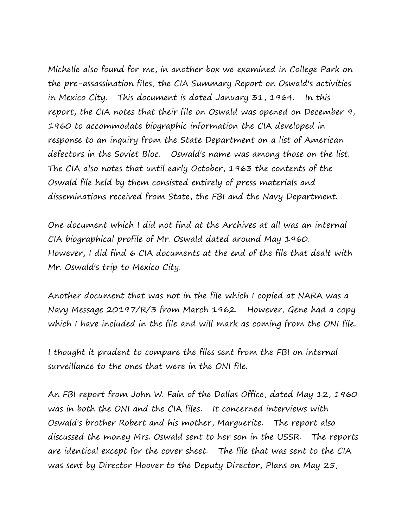Michelle also found for me, in another box we examined in College Park on the pre-assassination files, the CIA Summary Report on Oswald's activities in Mexico City. This document is dated January 31, 1964. In this report, the CIA notes that their file on Oswald was opened on December 9, 1960 to accommodate biographic information the CIA developed in response to an inquiry from the State Department on a list of American defectors in the Soviet Bloc. Oswald's name was among those on the list. The CIA also notes that until early October, 1963 the contents of the Oswald file held by them consisted entirely of press materials and disseminations received from State, the FBI and the Navy Department.

One document which I did not find at the Archives at all was an internal CIA biographical profile of Mr. Oswald dated around May 1960. However, I did find 6 CIA documents at the end of the file that dealt with Mr. Oswald's trip to Mexico City.

Another document that was not in the file which I copied at NARA was a Navy Message 20197/R/3 from March 1962. However, Gene had a copy which I have included in the file and will mark as coming from the ONI file.

I thought it prudent to compare the files sent from the FBI on internal surveillance to the ones that were in the ONI file.

An FBI report from John W. Fain of the Dallas Office, dated May 12, 1960 was in both the ONI and the CIA files. It concerned interviews with Oswald's brother Robert and his mother, Marguerite. The report also discussed the money Mrs. Oswald sent to her son in the USSR. The reports are identical except for the cover sheet. The file that was sent to the CIA was sent by Director Hoover to the Deputy Director, Plans on May 25,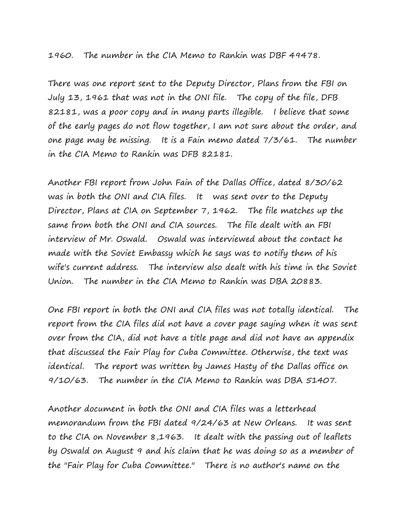## 1960. The number in the CIA Memo to Rankin was DBF 49478.

There was one report sent to the Deputy Director, Plans from the FBI on July 13, 1961 that was not in the ONI file. The copy of the file, DFB 82181, was a poor copy and in many parts illegible. I believe that some of the early pages do not flow together, I am not sure about the order, and one page may be missing. It is a Fain memo dated 7/3/61. The number in the CIA Memo to Rankin was DFB 82181.

Another FBI report from John Fain of the Dallas Office, dated 8/30/62 was in both the ONI and CIA files. It was sent over to the Deputy Director, Plans at CIA on September 7, 1962. The file matches up the same from both the ONI and CIA sources. The file dealt with an FBI interview of Mr. Oswald. Oswald was interviewed about the contact he made with the Soviet Embassy which he says was to notify them of his wife's current address. The interview also dealt with his time in the Soviet Union. The number in the CIA Memo to Rankin was DBA 20883.

One FBI report in both the ONI and CIA files was not totally identical. The report from the CIA files did not have a cover page saying when it was sent over from the CIA, did not have a title page and did not have an appendix that discussed the Fair Play for Cuba Committee. Otherwise, the text was identical. The report was written by James Hasty of the Dallas office on 9/10/63. The number in the CIA Memo to Rankin was DBA 51407.

Another document in both the ONI and CIA files was a letterhead memorandum from the FBI dated 9/24/63 at New Orleans. It was sent to the CIA on November 8,1963. It dealt with the passing out of leaflets by Oswald on August 9 and his claim that he was doing so as a member of the "Fair Play for Cuba Committee." There is no author's name on the